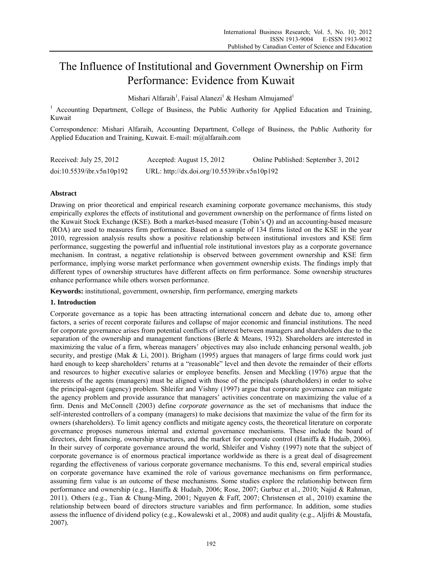# The Influence of Institutional and Government Ownership on Firm Performance: Evidence from Kuwait

Mishari Alfaraih<sup>1</sup>, Faisal Alanezi<sup>1</sup> & Hesham Almujamed<sup>1</sup>

<sup>1</sup> Accounting Department, College of Business, the Public Authority for Applied Education and Training, Kuwait

Correspondence: Mishari Alfaraih, Accounting Department, College of Business, the Public Authority for Applied Education and Training, Kuwait. E-mail: m@alfaraih.com

| Received: July 25, 2012   | Accepted: August 15, 2012                    | Online Published: September 3, 2012 |
|---------------------------|----------------------------------------------|-------------------------------------|
| doi:10.5539/ibr.v5n10p192 | URL: http://dx.doi.org/10.5539/ibr.v5n10p192 |                                     |

# **Abstract**

Drawing on prior theoretical and empirical research examining corporate governance mechanisms, this study empirically explores the effects of institutional and government ownership on the performance of firms listed on the Kuwait Stock Exchange (KSE). Both a market-based measure (Tobin's Q) and an accounting-based measure (ROA) are used to measures firm performance. Based on a sample of 134 firms listed on the KSE in the year 2010, regression analysis results show a positive relationship between institutional investors and KSE firm performance, suggesting the powerful and influential role institutional investors play as a corporate governance mechanism. In contrast, a negative relationship is observed between government ownership and KSE firm performance, implying worse market performance when government ownership exists. The findings imply that different types of ownership structures have different affects on firm performance. Some ownership structures enhance performance while others worsen performance.

**Keywords:** institutional, government, ownership, firm performance, emerging markets

#### **1. Introduction**

Corporate governance as a topic has been attracting international concern and debate due to, among other factors, a series of recent corporate failures and collapse of major economic and financial institutions. The need for corporate governance arises from potential conflicts of interest between managers and shareholders due to the separation of the ownership and management functions (Berle & Means, 1932). Shareholders are interested in maximizing the value of a firm, whereas managers' objectives may also include enhancing personal wealth, job security, and prestige (Mak & Li, 2001). Brigham (1995) argues that managers of large firms could work just hard enough to keep shareholders' returns at a "reasonable" level and then devote the remainder of their efforts and resources to higher executive salaries or employee benefits. Jensen and Meckling (1976) argue that the interests of the agents (managers) must be aligned with those of the principals (shareholders) in order to solve the principal-agent (agency) problem. Shleifer and Vishny (1997) argue that corporate governance can mitigate the agency problem and provide assurance that managers' activities concentrate on maximizing the value of a firm. Denis and McConnell (2003) define *corporate governance* as the set of mechanisms that induce the self-interested controllers of a company (managers) to make decisions that maximize the value of the firm for its owners (shareholders). To limit agency conflicts and mitigate agency costs, the theoretical literature on corporate governance proposes numerous internal and external governance mechanisms. These include the board of directors, debt financing, ownership structures, and the market for corporate control (Haniffa & Hudaib, 2006). In their survey of corporate governance around the world, Shleifer and Vishny (1997) note that the subject of corporate governance is of enormous practical importance worldwide as there is a great deal of disagreement regarding the effectiveness of various corporate governance mechanisms. To this end, several empirical studies on corporate governance have examined the role of various governance mechanisms on firm performance, assuming firm value is an outcome of these mechanisms. Some studies explore the relationship between firm performance and ownership (e.g., Haniffa & Hudaib, 2006; Rose, 2007; Gurbuz et al., 2010; Najid & Rahman, 2011). Others (e.g., Tian & Chung-Ming, 2001; Nguyen & Faff, 2007; Christensen et al., 2010) examine the relationship between board of directors structure variables and firm performance. In addition, some studies assess the influence of dividend policy (e.g., Kowalewski et al., 2008) and audit quality (e.g., Aljifri & Moustafa, 2007).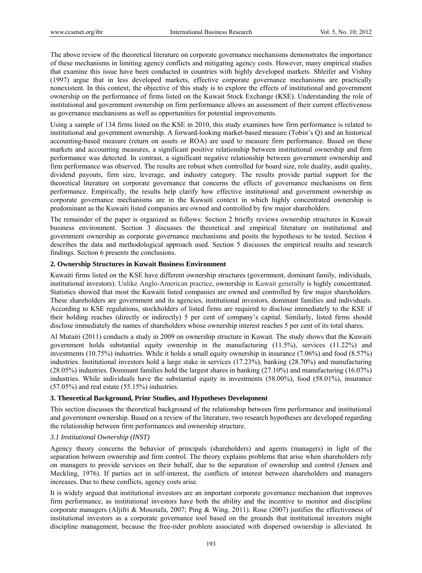The above review of the theoretical literature on corporate governance mechanisms demonstrates the importance of these mechanisms in limiting agency conflicts and mitigating agency costs. However, many empirical studies that examine this issue have been conducted in countries with highly developed markets. Shleifer and Vishny (1997) argue that in less developed markets, effective corporate governance mechanisms are practically nonexistent. In this context, the objective of this study is to explore the effects of institutional and government ownership on the performance of firms listed on the Kuwait Stock Exchange (KSE). Understanding the role of institutional and government ownership on firm performance allows an assessment of their current effectiveness as governance mechanisms as well as opportunities for potential improvements.

Using a sample of 134 firms listed on the KSE in 2010, this study examines how firm performance is related to institutional and government ownership. A forward-looking market-based measure (Tobin's Q) and an historical accounting-based measure (return on assets or ROA) are used to measure firm performance. Based on these markets and accounting measures, a significant positive relationship between institutional ownership and firm performance was detected. In contrast, a significant negative relationship between government ownership and firm performance was observed. The results are robust when controlled for board size, role duality, audit quality, dividend payouts, firm size, leverage, and industry category. The results provide partial support for the theoretical literature on corporate governance that concerns the effects of governance mechanisms on firm performance. Empirically, the results help clarify how effective institutional and government ownership as corporate governance mechanisms are in the Kuwaiti context in which highly concentrated ownership is predominant as the Kuwaiti listed companies are owned and controlled by few major shareholders.

The remainder of the paper is organized as follows: Section 2 briefly reviews ownership structures in Kuwait business environment. Section 3 discusses the theoretical and empirical literature on institutional and government ownership as corporate governance mechanisms and posits the hypotheses to be tested. Section 4 describes the data and methodological approach used. Section 5 discusses the empirical results and research findings. Section 6 presents the conclusions.

# **2. Ownership Structures in Kuwait Business Environment**

Kuwaiti firms listed on the KSE have different ownership structures (government, dominant family, individuals, institutional investors). Unlike Anglo-American practice, ownership in Kuwait generally is highly concentrated. Statistics showed that most the Kuwaiti listed companies are owned and controlled by few major shareholders. These shareholders are government and its agencies, institutional investors, dominant families and individuals. According to KSE regulations, stockholders of listed firms are required to disclose immediately to the KSE if their holding reaches (directly or indirectly) 5 per cent of company's capital. Similarly, listed firms should disclose immediately the names of shareholders whose ownership interest reaches 5 per cent of its total shares.

Al Mutairi (2011) conducts a study in 2009 on ownership structure in Kuwait. The study shows that the Kuwaiti government holds substantial equity ownership in the manufacturing (11.5%), services (11.22%) and investments (10.75%) industries. While it holds a small equity ownership in insurance (7.06%) and food (8.57%) industries. Institutional investors hold a large stake in services (17.23%), banking (28.70%) and manufacturing (28.05%) industries. Dominant families hold the largest shares in banking (27.10%) and manufacturing (16.07%) industries. While individuals have the substantial equity in investments (58.00%), food (58.01%), insurance (57.05%) and real estate (55.15%) industries.

# **3. Theoretical Background, Prior Studies, and Hypotheses Development**

This section discusses the theoretical background of the relationship between firm performance and institutional and government ownership. Based on a review of the literature, two research hypotheses are developed regarding the relationship between firm performances and ownership structure.

## *3.1 Institutional Ownership (INST)*

Agency theory concerns the behavior of principals (shareholders) and agents (managers) in light of the separation between ownership and firm control. The theory explains problems that arise when shareholders rely on managers to provide services on their behalf, due to the separation of ownership and control (Jensen and Meckling, 1976). If parties act in self-interest, the conflicts of interest between shareholders and managers increases. Due to these conflicts, agency costs arise.

It is widely argued that institutional investors are an important corporate governance mechanism that improves firm performance, as institutional investors have both the ability and the incentive to monitor and discipline corporate managers (Aljifri & Moustafa, 2007; Ping & Wing, 2011). Rose (2007) justifies the effectiveness of institutional investors as a corporate governance tool based on the grounds that institutional investors might discipline management, because the free-rider problem associated with dispersed ownership is alleviated. In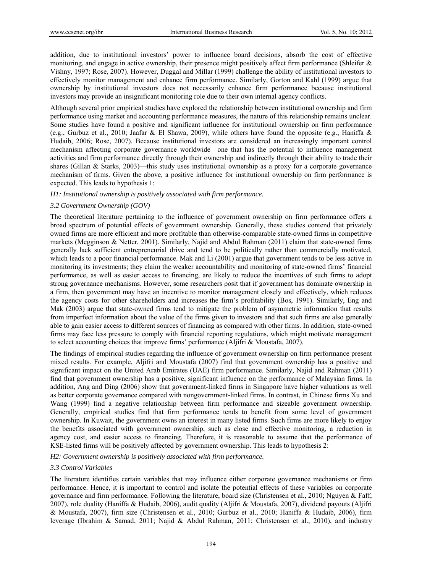addition, due to institutional investors' power to influence board decisions, absorb the cost of effective monitoring, and engage in active ownership, their presence might positively affect firm performance (Shleifer  $\&$ Vishny, 1997; Rose, 2007). However, Duggal and Millar (1999) challenge the ability of institutional investors to effectively monitor management and enhance firm performance. Similarly, Gorton and Kahl (1999) argue that ownership by institutional investors does not necessarily enhance firm performance because institutional investors may provide an insignificant monitoring role due to their own internal agency conflicts.

Although several prior empirical studies have explored the relationship between institutional ownership and firm performance using market and accounting performance measures, the nature of this relationship remains unclear. Some studies have found a positive and significant influence for institutional ownership on firm performance (e.g., Gurbuz et al., 2010; Jaafar & El Shawa, 2009), while others have found the opposite (e.g., Haniffa & Hudaib, 2006; Rose, 2007). Because institutional investors are considered an increasingly important control mechanism affecting corporate governance worldwide—one that has the potential to influence management activities and firm performance directly through their ownership and indirectly through their ability to trade their shares (Gillan & Starks, 2003)—this study uses institutional ownership as a proxy for a corporate governance mechanism of firms. Given the above, a positive influence for institutional ownership on firm performance is expected. This leads to hypothesis 1:

#### *H1: Institutional ownership is positively associated with firm performance.*

## *3.2 Government Ownership (GOV)*

The theoretical literature pertaining to the influence of government ownership on firm performance offers a broad spectrum of potential effects of government ownership. Generally, these studies contend that privately owned firms are more efficient and more profitable than otherwise-comparable state-owned firms in competitive markets (Megginson & Netter, 2001). Similarly, Najid and Abdul Rahman (2011) claim that state-owned firms generally lack sufficient entrepreneurial drive and tend to be politically rather than commercially motivated, which leads to a poor financial performance. Mak and Li (2001) argue that government tends to be less active in monitoring its investments; they claim the weaker accountability and monitoring of state-owned firms' financial performance, as well as easier access to financing, are likely to reduce the incentives of such firms to adopt strong governance mechanisms. However, some researchers posit that if government has dominate ownership in a firm, then government may have an incentive to monitor management closely and effectively, which reduces the agency costs for other shareholders and increases the firm's profitability (Bos, 1991). Similarly, Eng and Mak (2003) argue that state-owned firms tend to mitigate the problem of asymmetric information that results from imperfect information about the value of the firms given to investors and that such firms are also generally able to gain easier access to different sources of financing as compared with other firms. In addition, state-owned firms may face less pressure to comply with financial reporting regulations, which might motivate management to select accounting choices that improve firms' performance (Aljifri & Moustafa, 2007).

The findings of empirical studies regarding the influence of government ownership on firm performance present mixed results. For example, Aljifri and Moustafa (2007) find that government ownership has a positive and significant impact on the United Arab Emirates (UAE) firm performance. Similarly, Najid and Rahman (2011) find that government ownership has a positive, significant influence on the performance of Malaysian firms. In addition, Ang and Ding (2006) show that government-linked firms in Singapore have higher valuations as well as better corporate governance compared with nongovernment-linked firms. In contrast, in Chinese firms Xu and Wang (1999) find a negative relationship between firm performance and sizeable government ownership. Generally, empirical studies find that firm performance tends to benefit from some level of government ownership. In Kuwait, the government owns an interest in many listed firms. Such firms are more likely to enjoy the benefits associated with government ownership, such as close and effective monitoring, a reduction in agency cost, and easier access to financing. Therefore, it is reasonable to assume that the performance of KSE-listed firms will be positively affected by government ownership. This leads to hypothesis 2:

*H2: Government ownership is positively associated with firm performance.*

#### *3.3 Control Variables*

The literature identifies certain variables that may influence either corporate governance mechanisms or firm performance. Hence, it is important to control and isolate the potential effects of these variables on corporate governance and firm performance. Following the literature, board size (Christensen et al., 2010; Nguyen & Faff, 2007), role duality (Haniffa & Hudaib, 2006), audit quality (Aljifri & Moustafa, 2007), dividend payouts (Aljifri & Moustafa, 2007), firm size (Christensen et al., 2010; Gurbuz et al., 2010; Haniffa & Hudaib, 2006), firm leverage (Ibrahim & Samad, 2011; Najid & Abdul Rahman, 2011; Christensen et al., 2010), and industry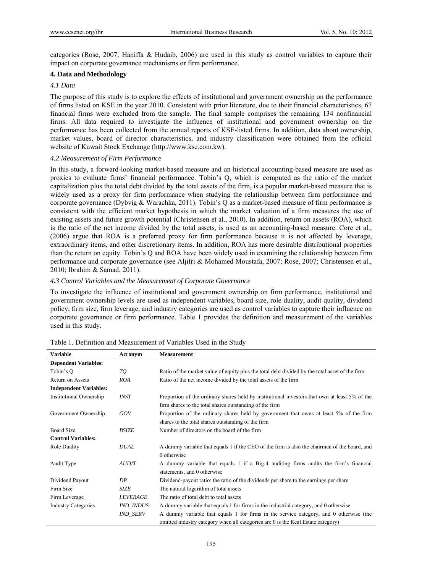categories (Rose, 2007; Haniffa & Hudaib, 2006) are used in this study as control variables to capture their impact on corporate governance mechanisms or firm performance.

## **4. Data and Methodology**

#### *4.1 Data*

The purpose of this study is to explore the effects of institutional and government ownership on the performance of firms listed on KSE in the year 2010. Consistent with prior literature, due to their financial characteristics, 67 financial firms were excluded from the sample. The final sample comprises the remaining 134 nonfinancial firms. All data required to investigate the influence of institutional and government ownership on the performance has been collected from the annual reports of KSE-listed firms. In addition, data about ownership, market values, board of director characteristics, and industry classification were obtained from the official website of Kuwait Stock Exchange (http://www.kse.com.kw).

#### *4.2 Measurement of Firm Performance*

In this study, a forward-looking market-based measure and an historical accounting-based measure are used as proxies to evaluate firms' financial performance. Tobin's Q, which is computed as the ratio of the market capitalization plus the total debt divided by the total assets of the firm, is a popular market-based measure that is widely used as a proxy for firm performance when studying the relationship between firm performance and corporate governance (Dybvig & Warachka, 2011). Tobin's Q as a market-based measure of firm performance is consistent with the efficient market hypothesis in which the market valuation of a firm measures the use of existing assets and future growth potential (Christensen et al., 2010). In addition, return on assets (ROA), which is the ratio of the net income divided by the total assets, is used as an accounting-based measure. Core et al., (2006) argue that ROA is a preferred proxy for firm performance because it is not affected by leverage, extraordinary items, and other discretionary items. In addition, ROA has more desirable distributional properties than the return on equity. Tobin's Q and ROA have been widely used in examining the relationship between firm performance and corporate governance (see Aljifri & Mohamed Moustafa, 2007; Rose, 2007; Christensen et al., 2010; Ibrahim & Samad, 2011).

#### *4.3 Control Variables and the Measurement of Corporate Governance*

To investigate the influence of institutional and government ownership on firm performance, institutional and government ownership levels are used as independent variables, board size, role duality, audit quality, dividend policy, firm size, firm leverage, and industry categories are used as control variables to capture their influence on corporate governance or firm performance. Table 1 provides the definition and measurement of the variables used in this study.

| Variable                      | Acronym            | <b>Measurement</b>                                                                                                                                                         |
|-------------------------------|--------------------|----------------------------------------------------------------------------------------------------------------------------------------------------------------------------|
| <b>Dependent Variables:</b>   |                    |                                                                                                                                                                            |
| Tobin's O                     | TQ.                | Ratio of the market value of equity plus the total debt divided by the total asset of the firm                                                                             |
| Return on Assets              | <b>ROA</b>         | Ratio of the net income divided by the total assets of the firm                                                                                                            |
| <b>Independent Variables:</b> |                    |                                                                                                                                                                            |
| Institutional Ownership       | <i><b>INST</b></i> | Proportion of the ordinary shares held by institutional investors that own at least 5% of the<br>firm shares to the total shares outstanding of the firm                   |
| Government Ownership          | GOV                | Proportion of the ordinary shares held by government that owns at least 5% of the firm<br>shares to the total shares outstanding of the firm                               |
| <b>Board Size</b>             | <b>BSIZE</b>       | Number of directors on the board of the firm                                                                                                                               |
| <b>Control Variables:</b>     |                    |                                                                                                                                                                            |
| Role Duality                  | <b>DUAL</b>        | A dummy variable that equals 1 if the CEO of the firm is also the chairman of the board, and<br>0 otherwise                                                                |
| Audit Type                    | <b>AUDIT</b>       | A dummy variable that equals 1 if a Big-4 auditing firms audits the firm's financial<br>statements, and 0 otherwise                                                        |
| Dividend Payout               | DP                 | Dividend-payout ratio: the ratio of the dividends per share to the earnings per share                                                                                      |
| Firm Size                     | SIZE               | The natural logarithm of total assets                                                                                                                                      |
| Firm Leverage                 | <b>LEVERAGE</b>    | The ratio of total debt to total assets                                                                                                                                    |
| <b>Industry Categories</b>    | <i>IND_INDUS</i>   | A dummy variable that equals 1 for firms in the industrial category, and 0 otherwise                                                                                       |
|                               | <i>IND_SERV</i>    | A dummy variable that equals 1 for firms in the service category, and 0 otherwise (the<br>omitted industry category when all categories are 0 is the Real Estate category) |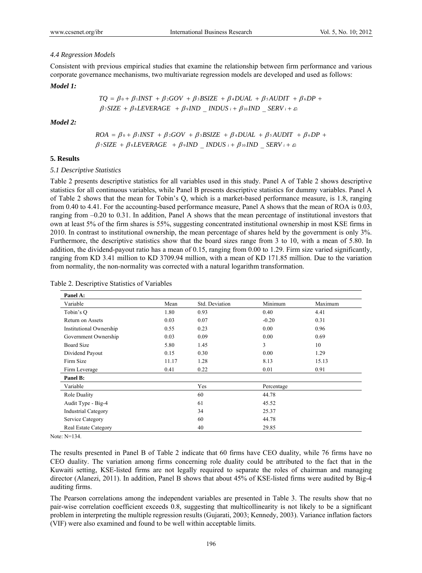#### *4.4 Regression Models*

Consistent with previous empirical studies that examine the relationship between firm performance and various corporate governance mechanisms, two multivariate regression models are developed and used as follows: *Model 1:* 

$$
TQ = \beta_0 + \beta_1 INST + \beta_2 GOV + \beta_3 BSIZE + \beta_4 DUAL + \beta_5 AUDIT + \beta_6 DP +
$$
  

$$
\beta_7 SIZE + \beta_8 LEVERAGE + \beta_9 IND \quad INDUS \quad i + \beta_{10} IND \quad SERV \quad i + \varepsilon_i
$$

*Model 2:* 

$$
ROA = \beta_0 + \beta_1 INST + \beta_2 GOV + \beta_3 BSIZE + \beta_4 DUAL + \beta_5 AUDIT + \beta_6 DP +
$$
  
 $\beta_7 SIZE + \beta_8 LEVERAGE + \beta_9 IND - INDUS_i + \beta_1 oIND - SERV_i + \varepsilon_i$ 

#### **5. Results**

#### *5.1 Descriptive Statistics*

Table 2 presents descriptive statistics for all variables used in this study. Panel A of Table 2 shows descriptive statistics for all continuous variables, while Panel B presents descriptive statistics for dummy variables. Panel A of Table 2 shows that the mean for Tobin's Q, which is a market-based performance measure, is 1.8, ranging from 0.40 to 4.41. For the accounting-based performance measure, Panel A shows that the mean of ROA is 0.03, ranging from –0.20 to 0.31. In addition, Panel A shows that the mean percentage of institutional investors that own at least 5% of the firm shares is 55%, suggesting concentrated institutional ownership in most KSE firms in 2010. In contrast to institutional ownership, the mean percentage of shares held by the government is only 3%. Furthermore, the descriptive statistics show that the board sizes range from 3 to 10, with a mean of 5.80. In addition, the dividend-payout ratio has a mean of 0.15, ranging from 0.00 to 1.29. Firm size varied significantly, ranging from KD 3.41 million to KD 3709.94 million, with a mean of KD 171.85 million. Due to the variation from normality, the non-normality was corrected with a natural logarithm transformation.

| Panel A:                   |       |                |            |         |
|----------------------------|-------|----------------|------------|---------|
| Variable                   | Mean  | Std. Deviation | Minimum    | Maximum |
| Tobin's O                  | 1.80  | 0.93           | 0.40       | 4.41    |
| Return on Assets           | 0.03  | 0.07           | $-0.20$    | 0.31    |
| Institutional Ownership    | 0.55  | 0.23           | 0.00       | 0.96    |
| Government Ownership       | 0.03  | 0.09           | 0.00       | 0.69    |
| <b>Board Size</b>          | 5.80  | 1.45           | 3          | 10      |
| Dividend Payout            | 0.15  | 0.30           | 0.00       | 1.29    |
| Firm Size                  | 11.17 | 1.28           | 8.13       | 15.13   |
| Firm Leverage              | 0.41  | 0.22           | 0.01       | 0.91    |
| Panel B:                   |       |                |            |         |
| Variable                   |       | Yes            | Percentage |         |
| Role Duality               |       | 60             | 44.78      |         |
| Audit Type - Big-4         |       | 61             | 45.52      |         |
| <b>Industrial Category</b> |       | 34             | 25.37      |         |
| Service Category           |       | 60             | 44.78      |         |
| Real Estate Category       |       | 40             | 29.85      |         |

| Table 2. Descriptive Statistics of Variables |  |  |  |  |
|----------------------------------------------|--|--|--|--|
|----------------------------------------------|--|--|--|--|

Note: N=134.

The results presented in Panel B of Table 2 indicate that 60 firms have CEO duality, while 76 firms have no CEO duality. The variation among firms concerning role duality could be attributed to the fact that in the Kuwaiti setting, KSE-listed firms are not legally required to separate the roles of chairman and managing director (Alanezi, 2011). In addition, Panel B shows that about 45% of KSE-listed firms were audited by Big-4 auditing firms.

The Pearson correlations among the independent variables are presented in Table 3. The results show that no pair-wise correlation coefficient exceeds 0.8, suggesting that multicollinearity is not likely to be a significant problem in interpreting the multiple regression results (Gujarati, 2003; Kennedy, 2003). Variance inflation factors (VIF) were also examined and found to be well within acceptable limits.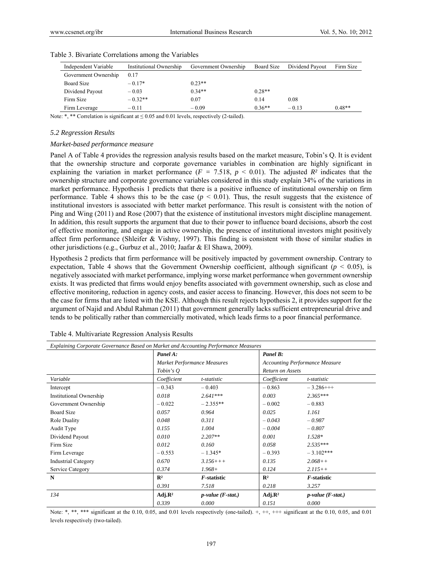| Independent Variable | Institutional Ownership | Government Ownership | Board Size | Dividend Payout | Firm Size |
|----------------------|-------------------------|----------------------|------------|-----------------|-----------|
| Government Ownership | 0.17                    |                      |            |                 |           |
| Board Size           | $-0.17*$                | $0.23**$             |            |                 |           |
| Dividend Payout      | $-0.03$                 | $0.34**$             | $0.28**$   |                 |           |
| Firm Size            | $-0.32**$               | 0.07                 | 0.14       | 0.08            |           |
| Firm Leverage        | $-0.11$                 | $-0.09$              | $0.36**$   | $-0.13$         | $0.48**$  |

#### Table 3. Bivariate Correlations among the Variables

Note: \*, \*\* Correlation is significant at  $\leq 0.05$  and 0.01 levels, respectively (2-tailed).

#### *5.2 Regression Results*

#### *Market-based performance measure*

Panel A of Table 4 provides the regression analysis results based on the market measure, Tobin's Q. It is evident that the ownership structure and corporate governance variables in combination are highly significant in explaining the variation in market performance  $(F = 7.518, p < 0.01)$ . The adjusted  $R<sup>2</sup>$  indicates that the ownership structure and corporate governance variables considered in this study explain 34% of the variations in market performance. Hypothesis 1 predicts that there is a positive influence of institutional ownership on firm performance. Table 4 shows this to be the case  $(p < 0.01)$ . Thus, the result suggests that the existence of institutional investors is associated with better market performance. This result is consistent with the notion of Ping and Wing (2011) and Rose (2007) that the existence of institutional investors might discipline management. In addition, this result supports the argument that due to their power to influence board decisions, absorb the cost of effective monitoring, and engage in active ownership, the presence of institutional investors might positively affect firm performance (Shleifer & Vishny, 1997). This finding is consistent with those of similar studies in other jurisdictions (e.g., Gurbuz et al., 2010; Jaafar & El Shawa, 2009).

Hypothesis 2 predicts that firm performance will be positively impacted by government ownership. Contrary to expectation, Table 4 shows that the Government Ownership coefficient, although significant  $(p < 0.05)$ , is negatively associated with market performance, implying worse market performance when government ownership exists. It was predicted that firms would enjoy benefits associated with government ownership, such as close and effective monitoring, reduction in agency costs, and easier access to financing. However, this does not seem to be the case for firms that are listed with the KSE. Although this result rejects hypothesis 2, it provides support for the argument of Najid and Abdul Rahman (2011) that government generally lacks sufficient entrepreneurial drive and tends to be politically rather than commercially motivated, which leads firms to a poor financial performance.

| Explaining Corporate Governance Based on Market and Accounting Performance Measures |                |                               |                  |                                       |  |
|-------------------------------------------------------------------------------------|----------------|-------------------------------|------------------|---------------------------------------|--|
|                                                                                     | Panel A:       |                               | Panel B:         |                                       |  |
|                                                                                     |                | Market Performance Measures   |                  | <b>Accounting Performance Measure</b> |  |
|                                                                                     | Tobin's Q      |                               | Return on Assets |                                       |  |
| Variable                                                                            | Coefficient    | t-statistic                   | Coefficient      | t-statistic                           |  |
| Intercept                                                                           | $-0.343$       | $-0.403$                      | $-0.863$         | $-3.286$ +++                          |  |
| Institutional Ownership                                                             | 0.018          | $2.641***$                    | 0.003            | $2.365***$                            |  |
| Government Ownership                                                                | $-0.022$       | $-2.355**$                    | $-0.002$         | $-0.883$                              |  |
| <b>Board Size</b>                                                                   | 0.057          | 0.964                         | 0.025            | 1.161                                 |  |
| Role Duality                                                                        | 0.048          | 0.311                         | $-0.043$         | $-0.987$                              |  |
| Audit Type                                                                          | 0.155          | 1.004                         | $-0.004$         | $-0.807$                              |  |
| Dividend Payout                                                                     | 0.010          | $2.207**$                     | 0.001            | $1.528*$                              |  |
| Firm Size                                                                           | 0.012          | 0.160                         | 0.058            | $2.535***$                            |  |
| Firm Leverage                                                                       | $-0.553$       | $-1.345*$                     | $-0.393$         | $-3.102***$                           |  |
| <b>Industrial Category</b>                                                          | 0.670          | $3.156++$                     | 0.135            | $2.068++$                             |  |
| Service Category                                                                    | 0.374          | $1.968+$                      | 0.124            | $2.115++$                             |  |
| N                                                                                   | $\mathbb{R}^2$ | F-statistic                   | $\mathbb{R}^2$   | F-statistic                           |  |
|                                                                                     | 0.391          | 7.518                         | 0.218            | 3.257                                 |  |
| 134                                                                                 | $Adj.R^2$      | $p$ -value ( <i>F</i> -stat.) | $Adj.R^2$        | $p$ -value ( <i>F</i> -stat.)         |  |
|                                                                                     | 0.339          | 0.000                         | 0.151            | 0.000                                 |  |

|  | Table 4. Multivariate Regression Analysis Results |
|--|---------------------------------------------------|
|  |                                                   |

Note: \*, \*\*, \*\*\* significant at the 0.10, 0.05, and 0.01 levels respectively (one-tailed).  $+, +, +++$  significant at the 0.10, 0.05, and 0.01 levels respectively (two-tailed).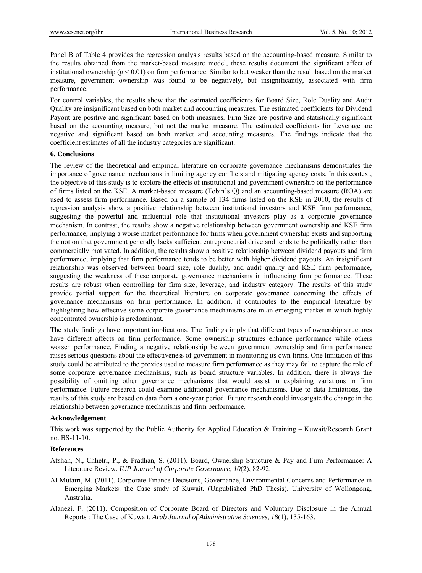Panel B of Table 4 provides the regression analysis results based on the accounting-based measure. Similar to the results obtained from the market-based measure model, these results document the significant affect of institutional ownership (*p* < 0.01) on firm performance. Similar to but weaker than the result based on the market measure, government ownership was found to be negatively, but insignificantly, associated with firm performance.

For control variables, the results show that the estimated coefficients for Board Size, Role Duality and Audit Quality are insignificant based on both market and accounting measures. The estimated coefficients for Dividend Payout are positive and significant based on both measures. Firm Size are positive and statistically significant based on the accounting measure, but not the market measure. The estimated coefficients for Leverage are negative and significant based on both market and accounting measures. The findings indicate that the coefficient estimates of all the industry categories are significant.

#### **6. Conclusions**

The review of the theoretical and empirical literature on corporate governance mechanisms demonstrates the importance of governance mechanisms in limiting agency conflicts and mitigating agency costs. In this context, the objective of this study is to explore the effects of institutional and government ownership on the performance of firms listed on the KSE. A market-based measure (Tobin's Q) and an accounting-based measure (ROA) are used to assess firm performance. Based on a sample of 134 firms listed on the KSE in 2010, the results of regression analysis show a positive relationship between institutional investors and KSE firm performance, suggesting the powerful and influential role that institutional investors play as a corporate governance mechanism. In contrast, the results show a negative relationship between government ownership and KSE firm performance, implying a worse market performance for firms when government ownership exists and supporting the notion that government generally lacks sufficient entrepreneurial drive and tends to be politically rather than commercially motivated. In addition, the results show a positive relationship between dividend payouts and firm performance, implying that firm performance tends to be better with higher dividend payouts. An insignificant relationship was observed between board size, role duality, and audit quality and KSE firm performance, suggesting the weakness of these corporate governance mechanisms in influencing firm performance. These results are robust when controlling for firm size, leverage, and industry category. The results of this study provide partial support for the theoretical literature on corporate governance concerning the effects of governance mechanisms on firm performance. In addition, it contributes to the empirical literature by highlighting how effective some corporate governance mechanisms are in an emerging market in which highly concentrated ownership is predominant.

The study findings have important implications. The findings imply that different types of ownership structures have different affects on firm performance. Some ownership structures enhance performance while others worsen performance. Finding a negative relationship between government ownership and firm performance raises serious questions about the effectiveness of government in monitoring its own firms. One limitation of this study could be attributed to the proxies used to measure firm performance as they may fail to capture the role of some corporate governance mechanisms, such as board structure variables. In addition, there is always the possibility of omitting other governance mechanisms that would assist in explaining variations in firm performance. Future research could examine additional governance mechanisms. Due to data limitations, the results of this study are based on data from a one-year period. Future research could investigate the change in the relationship between governance mechanisms and firm performance.

#### **Acknowledgement**

This work was supported by the Public Authority for Applied Education & Training – Kuwait/Research Grant no. BS-11-10.

#### **References**

- Afshan, N., Chhetri, P., & Pradhan, S. (2011). Board, Ownership Structure & Pay and Firm Performance: A Literature Review. *IUP Journal of Corporate Governance, 10*(2), 82-92.
- Al Mutairi, M. (2011). Corporate Finance Decisions, Governance, Environmental Concerns and Performance in Emerging Markets: the Case study of Kuwait. (Unpublished PhD Thesis). University of Wollongong, Australia.
- Alanezi, F. (2011). Composition of Corporate Board of Directors and Voluntary Disclosure in the Annual Reports : The Case of Kuwait. *Arab Journal of Administrative Sciences, 18*(1), 135-163.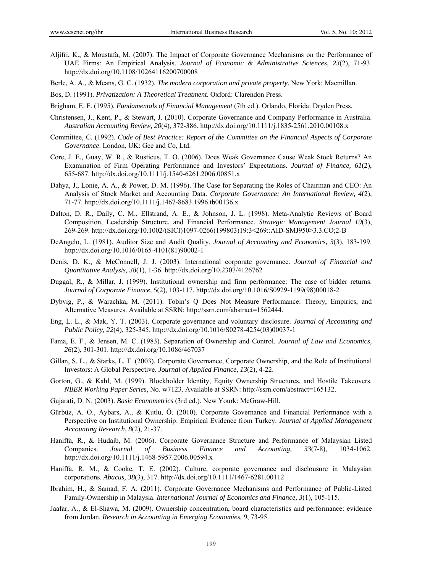- Aljifri, K., & Moustafa, M. (2007). The Impact of Corporate Governance Mechanisms on the Performance of UAE Firms: An Empirical Analysis. *Journal of Economic & Administrative Sciences, 23*(2), 71-93. http://dx.doi.org/10.1108/10264116200700008
- Berle, A. A., & Means, G. C. (1932). *The modern corporation and private property*. New York: Macmillan.

Bos, D. (1991). *Privatization: A Theoretical Treatment*. Oxford: Clarendon Press.

- Brigham, E. F. (1995). *Fundamentals of Financial Management* (7th ed.). Orlando, Florida: Dryden Press.
- Christensen, J., Kent, P., & Stewart, J. (2010). Corporate Governance and Company Performance in Australia. *Australian Accounting Review, 20*(4), 372-386. http://dx.doi.org/10.1111/j.1835-2561.2010.00108.x
- Committee, C. (1992). *Code of Best Practice: Report of the Committee on the Financial Aspects of Corporate Governance*. London, UK: Gee and Co, Ltd.
- Core, J. E., Guay, W. R., & Rusticus, T. O. (2006). Does Weak Governance Cause Weak Stock Returns? An Examination of Firm Operating Performance and Investors' Expectations. *Journal of Finance, 61*(2), 655-687. http://dx.doi.org/10.1111/j.1540-6261.2006.00851.x
- Dahya, J., Lonie, A. A., & Power, D. M. (1996). The Case for Separating the Roles of Chairman and CEO: An Analysis of Stock Market and Accounting Data. *Corporate Governance: An International Review, 4*(2), 71-77. http://dx.doi.org/10.1111/j.1467-8683.1996.tb00136.x
- Dalton, D. R., Daily, C. M., Ellstrand, A. E., & Johnson, J. L. (1998). Meta-Analytic Reviews of Board Composition, Leadership Structure, and Financial Performance. *Strategic Management Journal 19*(3), 269-269. http://dx.doi.org/10.1002/(SICI)1097-0266(199803)19:3<269::AID-SMJ950>3.3.CO;2-B
- DeAngelo, L. (1981). Auditor Size and Audit Quality. *Journal of Accounting and Economics, 3*(3), 183-199. http://dx.doi.org/10.1016/0165-4101(81)90002-1
- Denis, D. K., & McConnell, J. J. (2003). International corporate governance. *Journal of Financial and Quantitative Analysis, 38*(1), 1-36. http://dx.doi.org/10.2307/4126762
- Duggal, R., & Millar, J. (1999). Institutional ownership and firm performance: The case of bidder returns. *Journal of Corporate Finance, 5*(2), 103-117. http://dx.doi.org/10.1016/S0929-1199(98)00018-2
- Dybvig, P., & Warachka, M. (2011). Tobin's Q Does Not Measure Performance: Theory, Empirics, and Alternative Measures. Available at SSRN: http://ssrn.com/abstract=1562444.
- Eng, L. L., & Mak, Y. T. (2003). Corporate governance and voluntary disclosure. *Journal of Accounting and Public Policy, 22*(4), 325-345. http://dx.doi.org/10.1016/S0278-4254(03)00037-1
- Fama, E. F., & Jensen, M. C. (1983). Separation of Ownership and Control. *Journal of Law and Economics, 26*(2), 301-301. http://dx.doi.org/10.1086/467037
- Gillan, S. L., & Starks, L. T. (2003). Corporate Governance, Corporate Ownership, and the Role of Institutional Investors: A Global Perspective. *Journal of Applied Finance, 13*(2), 4-22.
- Gorton, G., & Kahl, M. (1999). Blockholder Identity, Equity Ownership Structures, and Hostile Takeovers. *NBER Working Paper Series*, No. w7123. Available at SSRN: http://ssrn.com/abstract=165132.
- Gujarati, D. N. (2003). *Basic Econometrics* (3rd ed.). New Yourk: McGraw-Hill.
- Gürbüz, A. O., Aybars, A., & Kutlu, Ö. (2010). Corporate Governance and Financial Performance with a Perspective on Institutional Ownership: Empirical Evidence from Turkey. *Journal of Applied Management Accounting Research, 8*(2), 21-37.
- Haniffa, R., & Hudaib, M. (2006). Corporate Governance Structure and Performance of Malaysian Listed Companies. *Journal of Business Finance and Accounting, 33*(7-8), 1034-1062. http://dx.doi.org/10.1111/j.1468-5957.2006.00594.x
- Haniffa, R. M., & Cooke, T. E. (2002). Culture, corporate governance and disclousure in Malaysian corporations. *Abacus, 38*(3), 317. http://dx.doi.org/10.1111/1467-6281.00112
- Ibrahim, H., & Samad, F. A. (2011). Corporate Governance Mechanisms and Performance of Public-Listed Family-Ownership in Malaysia. *International Journal of Economics and Finance, 3*(1), 105-115.
- Jaafar, A., & El-Shawa, M. (2009). Ownership concentration, board characteristics and performance: evidence from Jordan. *Research in Accounting in Emerging Economies, 9*, 73-95.